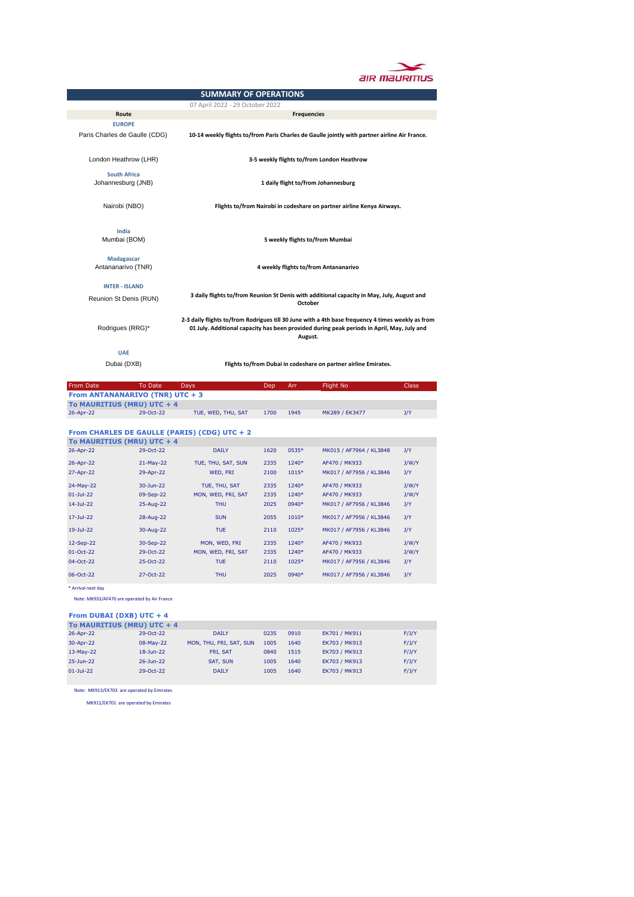

|                                 |                                           | <b>SUMMARY OF OPERATIONS</b>                                           |      |                    |                                                                                                                                                                                                 |              |  |
|---------------------------------|-------------------------------------------|------------------------------------------------------------------------|------|--------------------|-------------------------------------------------------------------------------------------------------------------------------------------------------------------------------------------------|--------------|--|
|                                 |                                           | 07 April 2022 - 29 October 2022                                        |      |                    |                                                                                                                                                                                                 |              |  |
|                                 | Route                                     |                                                                        |      | <b>Frequencies</b> |                                                                                                                                                                                                 |              |  |
|                                 | <b>EUROPE</b>                             |                                                                        |      |                    |                                                                                                                                                                                                 |              |  |
|                                 | Paris Charles de Gaulle (CDG)             |                                                                        |      |                    | 10-14 weekly flights to/from Paris Charles de Gaulle jointly with partner airline Air France.                                                                                                   |              |  |
|                                 | London Heathrow (LHR)                     |                                                                        |      |                    | 3-5 weekly flights to/from London Heathrow                                                                                                                                                      |              |  |
|                                 | <b>South Africa</b><br>Johannesburg (JNB) |                                                                        |      |                    | 1 daily flight to/from Johannesburg                                                                                                                                                             |              |  |
|                                 | Nairobi (NBO)                             | Flights to/from Nairobi in codeshare on partner airline Kenya Airways. |      |                    |                                                                                                                                                                                                 |              |  |
|                                 | India<br>Mumbai (BOM)                     | 5 weekly flights to/from Mumbai                                        |      |                    |                                                                                                                                                                                                 |              |  |
|                                 | Madagascar                                |                                                                        |      |                    |                                                                                                                                                                                                 |              |  |
|                                 | Antananarivo (TNR)                        | 4 weekly flights to/from Antananarivo                                  |      |                    |                                                                                                                                                                                                 |              |  |
|                                 |                                           |                                                                        |      |                    |                                                                                                                                                                                                 |              |  |
|                                 | <b>INTER - ISLAND</b>                     |                                                                        |      |                    |                                                                                                                                                                                                 |              |  |
|                                 | Reunion St Denis (RUN)                    |                                                                        |      | <b>October</b>     | 3 daily flights to/from Reunion St Denis with additional capacity in May, July, August and                                                                                                      |              |  |
|                                 | Rodrigues (RRG)*<br><b>UAE</b>            |                                                                        |      | August.            | 2-3 daily flights to/from Rodrigues till 30 June with a 4th base frequency 4 times weekly as from<br>01 July. Additional capacity has been provided during peak periods in April, May, July and |              |  |
|                                 | Dubai (DXB)                               |                                                                        |      |                    | Flights to/from Dubai in codeshare on partner airline Emirates.                                                                                                                                 |              |  |
|                                 |                                           |                                                                        |      |                    |                                                                                                                                                                                                 |              |  |
| From Date                       | To Date                                   | Days                                                                   | Dep  | Arr                | Flight No                                                                                                                                                                                       | <b>Class</b> |  |
| From ANTANANARIVO (TNR) UTC + 3 |                                           |                                                                        |      |                    |                                                                                                                                                                                                 |              |  |
| To MAURITIUS (MRU) UTC + 4      |                                           |                                                                        |      |                    |                                                                                                                                                                                                 |              |  |
| 26-Apr-22                       | 29-Oct-22                                 | TUE, WED, THU, SAT                                                     | 1700 | 1945               | MK289 / EK3477                                                                                                                                                                                  | J/Y          |  |
| To MAURITIUS (MRU) UTC + 4      |                                           | From CHARLES DE GAULLE (PARIS) (CDG) UTC + 2                           |      |                    |                                                                                                                                                                                                 |              |  |
| 26-Apr-22                       | 29-Oct-22                                 | <b>DAILY</b>                                                           | 1620 | 0535*              | MK015 / AF7964 / KL3848                                                                                                                                                                         | J/Y          |  |
| 26-Apr-22                       | 21-May-22                                 | TUE, THU, SAT, SUN                                                     | 2335 | 1240*              | AF470 / MK933                                                                                                                                                                                   | J/W/Y        |  |
| 27-Apr-22                       | 29-Apr-22                                 | WED, FRI                                                               | 2100 | 1015*              | MK017 / AF7956 / KL3846                                                                                                                                                                         | J/Y          |  |

|               | To MAURITIUS (MRU) UTC + 4 |                    |      |         |                         |       |
|---------------|----------------------------|--------------------|------|---------|-------------------------|-------|
| 26-Apr-22     | 29-Oct-22                  | <b>DAILY</b>       | 1620 | 0535*   | MK015 / AF7964 / KL3848 | J/Y   |
| 26-Apr-22     | 21-May-22                  | TUE, THU, SAT, SUN | 2335 | 1240*   | AF470 / MK933           | J/W/Y |
| 27-Apr-22     | 29-Apr-22                  | WED, FRI           | 2100 | $1015*$ | MK017 / AF7956 / KL3846 | J/Y   |
| 24-May-22     | 30-Jun-22                  | TUE, THU, SAT      | 2335 | 1240*   | AF470 / MK933           | J/W/Y |
| $01 -$ Jul-22 | 09-Sep-22                  | MON, WED, FRI, SAT | 2335 | $1240*$ | AF470 / MK933           | J/W/Y |
| $14$ -Jul-22  | 25-Aug-22                  | <b>THU</b>         | 2025 | 0940*   | MK017 / AF7956 / KL3846 | J/Y   |
| 17-Jul-22     | 28-Aug-22                  | <b>SUN</b>         | 2055 | $1010*$ | MK017 / AF7956 / KL3846 | J/Y   |
| $19$ -Jul-22  | 30-Aug-22                  | <b>TUE</b>         | 2110 | 1025*   | MK017 / AF7956 / KL3846 | J/Y   |
| 12-Sep-22     | 30-Sep-22                  | MON, WED, FRI      | 2335 | 1240*   | AF470 / MK933           | J/W/Y |
| 01-Oct-22     | 29-Oct-22                  | MON, WED, FRI, SAT | 2335 | $1240*$ | AF470 / MK933           | J/W/Y |
| 04-Oct-22     | 25-Oct-22                  | <b>TUE</b>         | 2110 | 1025*   | MK017 / AF7956 / KL3846 | J/Y   |
| 06-Oct-22     | 27-Oct-22                  | <b>THU</b>         | 2025 | 0940*   | MK017 / AF7956 / KL3846 | J/Y   |
|               |                            |                    |      |         |                         |       |

\* Arrival next day

Note: MK933/AF470 are operated by Air France

#### **From DUBAI (DXB) UTC + 4**

| To MAURITIUS (MRU) UTC + 4 |             |                         |      |      |               |       |
|----------------------------|-------------|-------------------------|------|------|---------------|-------|
| 26-Apr-22                  | 29-Oct-22   | <b>DAILY</b>            | 0235 | 0910 | EK701 / MK911 | F/J/Y |
| 30-Apr-22                  | 08-May-22   | MON, THU, FRI, SAT, SUN | 1005 | 1640 | EK703 / MK913 | F/J/Y |
| $13-May-22$                | 18-Jun-22   | <b>FRI. SAT</b>         | 0840 | 1515 | EK703 / MK913 | F/J/Y |
| 25-Jun-22                  | 26-Jun-22   | <b>SAT. SUN</b>         | 1005 | 1640 | EK703 / MK913 | F/J/Y |
| $01 -$ Jul-22              | $29-0ct-22$ | <b>DAILY</b>            | 1005 | 1640 | EK703 / MK913 | F/J/Y |
|                            |             |                         |      |      |               |       |

Note: MK913/EK703 are operated by Emirates

MK911/EK701 are operated by Emirates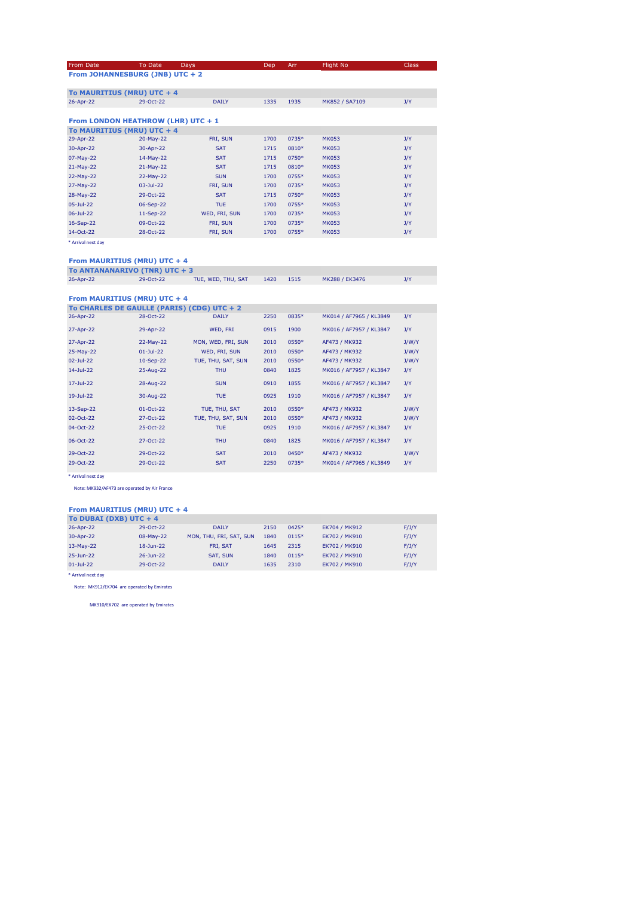| From Date          | To Date                                                                 | Days          | Dep  | Arr   | Flight No      | <b>Class</b> |
|--------------------|-------------------------------------------------------------------------|---------------|------|-------|----------------|--------------|
|                    | From JOHANNESBURG (JNB) UTC + 2                                         |               |      |       |                |              |
|                    |                                                                         |               |      |       |                |              |
|                    | To MAURITIUS (MRU) UTC + 4                                              |               |      |       |                |              |
| 26-Apr-22          | 29-Oct-22                                                               | <b>DAILY</b>  | 1335 | 1935  | MK852 / SA7109 | J/Y          |
|                    |                                                                         |               |      |       |                |              |
|                    | From LONDON HEATHROW (LHR) UTC + 1                                      |               |      |       |                |              |
|                    | To MAURITIUS (MRU) UTC + 4                                              |               |      |       |                |              |
| 29-Apr-22          | 20-May-22                                                               | FRI, SUN      | 1700 | 0735* | <b>MK053</b>   | J/Y          |
| 30-Apr-22          | 30-Apr-22                                                               | <b>SAT</b>    | 1715 | 0810* | <b>MK053</b>   | J/Y          |
| 07-May-22          | 14-May-22                                                               | <b>SAT</b>    | 1715 | 0750* | <b>MK053</b>   | J/Y          |
| 21-May-22          | 21-May-22                                                               | <b>SAT</b>    | 1715 | 0810* | <b>MK053</b>   | J/Y          |
| 22-May-22          | 22-May-22                                                               | <b>SUN</b>    | 1700 | 0755* | <b>MK053</b>   | J/Y          |
| 27-May-22          | $03 -$ Jul-22                                                           | FRI, SUN      | 1700 | 0735* | <b>MK053</b>   | J/Y          |
| 28-May-22          | 29-Oct-22                                                               | <b>SAT</b>    | 1715 | 0750* | <b>MK053</b>   | J/Y          |
| $05 -$ Jul-22      | 06-Sep-22                                                               | <b>TUE</b>    | 1700 | 0755* | <b>MK053</b>   | J/Y          |
| 06-Jul-22          | 11-Sep-22                                                               | WED, FRI, SUN | 1700 | 0735* | <b>MK053</b>   | J/Y          |
| 16-Sep-22          | 09-Oct-22                                                               | FRI, SUN      | 1700 | 0735* | <b>MK053</b>   | J/Y          |
| 14-Oct-22          | 28-Oct-22                                                               | FRI, SUN      | 1700 | 0755* | <b>MK053</b>   | J/Y          |
| * Arrival next day |                                                                         |               |      |       |                |              |
|                    |                                                                         |               |      |       |                |              |
|                    | From MAURITIUS (MRU) UTC + 4                                            |               |      |       |                |              |
|                    | <b>THE ANIMAL MANAGEMENT CONTINUES IN THE REAL PROPERTY OF PROPERTY</b> |               |      |       |                |              |

| To ANTANANARIVO (TNR) UTC + 3 |           |                    |      |      |                |  |  |  |
|-------------------------------|-----------|--------------------|------|------|----------------|--|--|--|
| 26-Apr-22                     | 29-Oct-22 | TUE, WED, THU, SAT | 1420 | 1515 | MK288 / EK3476 |  |  |  |
|                               |           |                    |      |      |                |  |  |  |

**From MAURITIUS (MRU) UTC + 4**

| To CHARLES DE GAULLE (PARIS) (CDG) UTC + 2 |               |                    |      |       |                         |       |
|--------------------------------------------|---------------|--------------------|------|-------|-------------------------|-------|
| 26-Apr-22                                  | 28-Oct-22     | <b>DAILY</b>       | 2250 | 0835* | MK014 / AF7965 / KL3849 | J/Y   |
| 27-Apr-22                                  | 29-Apr-22     | WED, FRI           | 0915 | 1900  | MK016 / AF7957 / KL3847 | J/Y   |
| 27-Apr-22                                  | 22-May-22     | MON, WED, FRI, SUN | 2010 | 0550* | AF473 / MK932           | J/W/Y |
| 25-May-22                                  | $01 -$ Jul-22 | WED, FRI, SUN      | 2010 | 0550* | AF473 / MK932           | J/W/Y |
| $02 - Jul - 22$                            | 10-Sep-22     | TUE, THU, SAT, SUN | 2010 | 0550* | AF473 / MK932           | J/W/Y |
| $14 - Jul - 22$                            | 25-Aug-22     | <b>THU</b>         | 0840 | 1825  | MK016 / AF7957 / KL3847 | J/Y   |
| $17 - Jul - 22$                            | 28-Aug-22     | <b>SUN</b>         | 0910 | 1855  | MK016 / AF7957 / KL3847 | J/Y   |
| 19-Jul-22                                  | 30-Aug-22     | <b>TUE</b>         | 0925 | 1910  | MK016 / AF7957 / KL3847 | J/Y   |
| 13-Sep-22                                  | $01-Oct-22$   | TUE, THU, SAT      | 2010 | 0550* | AF473 / MK932           | J/W/Y |
| 02-Oct-22                                  | 27-Oct-22     | TUE, THU, SAT, SUN | 2010 | 0550* | AF473 / MK932           | J/W/Y |
| 04-Oct-22                                  | 25-Oct-22     | TUE.               | 0925 | 1910  | MK016 / AF7957 / KL3847 | J/Y   |
| 06-Oct-22                                  | 27-Oct-22     | <b>THU</b>         | 0840 | 1825  | MK016 / AF7957 / KL3847 | J/Y   |
| 29-Oct-22                                  | 29-Oct-22     | <b>SAT</b>         | 2010 | 0450* | AF473 / MK932           | J/W/Y |
| 29-Oct-22                                  | 29-Oct-22     | <b>SAT</b>         | 2250 | 0735* | MK014 / AF7965 / KL3849 | J/Y   |
|                                            |               |                    |      |       |                         |       |

\* Arrival next day

Note: MK932/AF473 are operated by Air France

#### **From MAURITIUS (MRU) UTC + 4**

| To DUBAI (DXB) UTC $+4$ |                    |                         |      |         |               |       |
|-------------------------|--------------------|-------------------------|------|---------|---------------|-------|
| 26-Apr-22               | 29-Oct-22          | <b>DAILY</b>            | 2150 | $0425*$ | EK704 / MK912 | F/J/Y |
| 30-Apr-22               | 08-May-22          | MON, THU, FRI, SAT, SUN | 1840 | 0115*   | EK702 / MK910 | F/J/Y |
| $13-May-22$             | 18-Jun-22          | <b>FRI. SAT</b>         | 1645 | 2315    | EK702 / MK910 | F/J/Y |
| 25-Jun-22               | $26 - \frac{1}{2}$ | SAT, SUN                | 1840 | $0115*$ | EK702 / MK910 | F/J/Y |
| $01 - Jul - 22$         | 29-Oct-22          | <b>DAILY</b>            | 1635 | 2310    | EK702 / MK910 | F/J/Y |
|                         |                    |                         |      |         |               |       |

\* Arrival next day

Note: MK912/EK704 are operated by Emirates

MK910/EK702 are operated by Emirates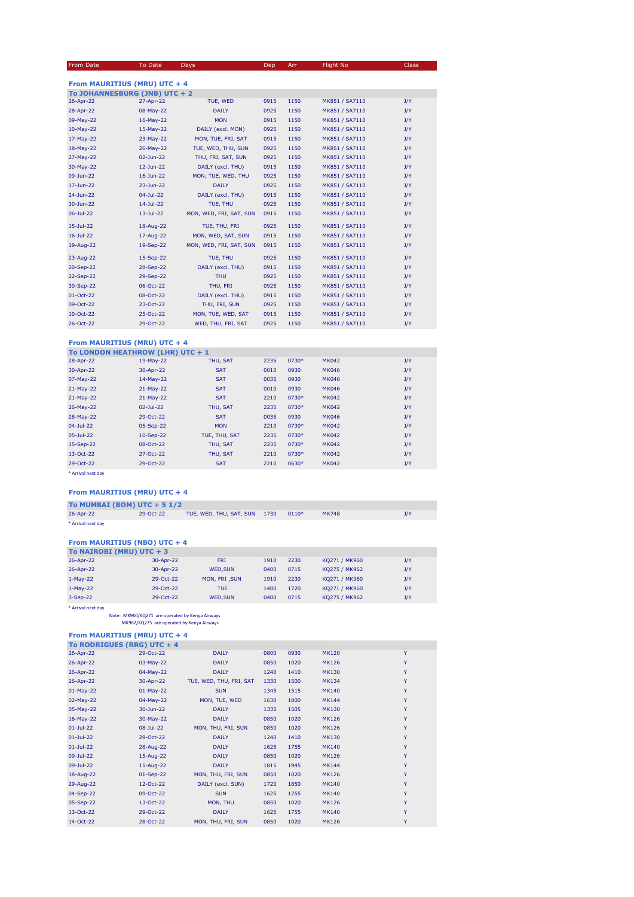#### From Date To Date Days Dep Arr Flight No Class

| From MAURITIUS (MRU) UTC + 4  |                 |                         |      |      |                |     |  |  |
|-------------------------------|-----------------|-------------------------|------|------|----------------|-----|--|--|
| To JOHANNESBURG (JNB) UTC + 2 |                 |                         |      |      |                |     |  |  |
| 26-Apr-22                     | 27-Apr-22       | TUE, WED                | 0915 | 1150 | MK851 / SA7110 | J/Y |  |  |
| 28-Apr-22                     | 08-May-22       | <b>DAILY</b>            | 0925 | 1150 | MK851 / SA7110 | J/Y |  |  |
| 09-May-22                     | 16-May-22       | <b>MON</b>              | 0915 | 1150 | MK851 / SA7110 | J/Y |  |  |
| 10-May-22                     | 15-May-22       | DAILY (excl. MON)       | 0925 | 1150 | MK851 / SA7110 | J/Y |  |  |
| 17-May-22                     | 23-May-22       | MON, TUE, FRI, SAT      | 0915 | 1150 | MK851 / SA7110 | J/Y |  |  |
| 18-May-22                     | 26-May-22       | TUE, WED, THU, SUN      | 0925 | 1150 | MK851 / SA7110 | J/Y |  |  |
| 27-May-22                     | $02$ -Jun-22    | THU, FRI, SAT, SUN      | 0925 | 1150 | MK851 / SA7110 | J/Y |  |  |
| 30-May-22                     | 12-Jun-22       | DAILY (excl. THU)       | 0915 | 1150 | MK851 / SA7110 | J/Y |  |  |
| 09-Jun-22                     | $16$ -Jun-22    | MON, TUE, WED, THU      | 0925 | 1150 | MK851 / SA7110 | J/Y |  |  |
| 17-Jun-22                     | 23-Jun-22       | <b>DAILY</b>            | 0925 | 1150 | MK851 / SA7110 | J/Y |  |  |
| 24-Jun-22                     | $04 - Jul - 22$ | DAILY (excl. THU)       | 0915 | 1150 | MK851 / SA7110 | J/Y |  |  |
| 30-Jun-22                     | $14$ -Jul-22    | TUE, THU                | 0925 | 1150 | MK851 / SA7110 | J/Y |  |  |
| $06 - Jul - 22$               | $13 -$ Jul-22   | MON, WED, FRI, SAT, SUN | 0915 | 1150 | MK851 / SA7110 | J/Y |  |  |
| $15 -$ Jul-22                 | 18-Aug-22       | TUE, THU, FRI           | 0925 | 1150 | MK851 / SA7110 | J/Y |  |  |
| $16$ -Jul-22                  | 17-Aug-22       | MON, WED, SAT, SUN      | 0915 | 1150 | MK851 / SA7110 | J/Y |  |  |
| 19-Aug-22                     | 19-Sep-22       | MON, WED, FRI, SAT, SUN | 0915 | 1150 | MK851 / SA7110 | J/Y |  |  |
| 23-Aug-22                     | 15-Sep-22       | TUE, THU                | 0925 | 1150 | MK851 / SA7110 | J/Y |  |  |
| 20-Sep-22                     | 28-Sep-22       | DAILY (excl. THU)       | 0915 | 1150 | MK851 / SA7110 | J/Y |  |  |
| 22-Sep-22                     | 29-Sep-22       | <b>THU</b>              | 0925 | 1150 | MK851 / SA7110 | J/Y |  |  |
| 30-Sep-22                     | 06-Oct-22       | THU, FRI                | 0925 | 1150 | MK851 / SA7110 | J/Y |  |  |
| 01-Oct-22                     | 08-Oct-22       | DAILY (excl. THU)       | 0915 | 1150 | MK851 / SA7110 | J/Y |  |  |
| 09-Oct-22                     | 23-Oct-22       | THU, FRI, SUN           | 0925 | 1150 | MK851 / SA7110 | J/Y |  |  |
| 10-Oct-22                     | 25-Oct-22       | MON, TUE, WED, SAT      | 0915 | 1150 | MK851 / SA7110 | J/Y |  |  |
| 26-Oct-22                     | 29-Oct-22       | WED, THU, FRI, SAT      | 0925 | 1150 | MK851 / SA7110 | J/Y |  |  |

### **From MAURITIUS (MRU) UTC + 4**

| To LONDON HEATHROW (LHR) UTC + 1 |               |               |      |       |              |     |
|----------------------------------|---------------|---------------|------|-------|--------------|-----|
| 28-Apr-22                        | 19-May-22     | THU, SAT      | 2235 | 0730* | <b>MK042</b> | J/Y |
| 30-Apr-22                        | 30-Apr-22     | <b>SAT</b>    | 0010 | 0930  | <b>MK046</b> | J/Y |
| 07-May-22                        | 14-May-22     | <b>SAT</b>    | 0035 | 0930  | <b>MK046</b> | J/Y |
| 21-May-22                        | 21-May-22     | <b>SAT</b>    | 0010 | 0930  | <b>MK046</b> | J/Y |
| $21-May-22$                      | 21-May-22     | <b>SAT</b>    | 2210 | 0730* | <b>MK042</b> | J/Y |
| 26-May-22                        | $02 -$ Jul-22 | THU, SAT      | 2235 | 0730* | <b>MK042</b> | J/Y |
| 28-May-22                        | 29-Oct-22     | <b>SAT</b>    | 0035 | 0930  | <b>MK046</b> | J/Y |
| $04 - Jul - 22$                  | 05-Sep-22     | <b>MON</b>    | 2210 | 0730* | <b>MK042</b> | J/Y |
| $05 -$ Jul-22                    | 10-Sep-22     | TUE, THU, SAT | 2235 | 0730* | <b>MK042</b> | J/Y |
| 15-Sep-22                        | 08-Oct-22     | THU, SAT      | 2235 | 0730* | <b>MK042</b> | J/Y |
| 13-Oct-22                        | 27-Oct-22     | THU, SAT      | 2210 | 0730* | <b>MK042</b> | J/Y |
| 29-Oct-22                        | 29-Oct-22     | <b>SAT</b>    | 2210 | 0630* | <b>MK042</b> | J/Y |
|                                  |               |               |      |       |              |     |

\* Arrival next day

### **From MAURITIUS (MRU) UTC + 4**

| To MUMBAI (BOM) UTC $+ 51/2$ |           |                              |         |              |  |
|------------------------------|-----------|------------------------------|---------|--------------|--|
| 26-Apr-22                    | 29-Oct-22 | TUE, WED, THU, SAT, SUN 1730 | $0110*$ | <b>MK748</b> |  |
| * Arrival next day           |           |                              |         |              |  |

#### **From MAURITIUS (NBO) UTC + 4**

| To NAIROBI (MRU) UTC $+3$ |           |                |      |      |               |     |  |
|---------------------------|-----------|----------------|------|------|---------------|-----|--|
| 26-Apr-22                 | 30-Apr-22 | <b>FRI</b>     | 1910 | 2230 | KQ271 / MK960 | J/Y |  |
| 26-Apr-22                 | 30-Apr-22 | <b>WED.SUN</b> | 0400 | 0715 | KQ275 / MK962 | J/Y |  |
| $1-May-22$                | 29-Oct-22 | MON, FRI, SUN  | 1910 | 2230 | KQ271 / MK960 | J/Y |  |
| $1-May-22$                | 29-Oct-22 | TUE.           | 1400 | 1720 | KQ271 / MK960 | J/Y |  |
| $3-Sep-22$                | 29-Oct-22 | <b>WED.SUN</b> | 0400 | 0715 | KQ275 / MK962 | J/Y |  |
|                           |           |                |      |      |               |     |  |

\* Arrival next day Note: MK960/KQ271 are operated by Kenya Airways MK962/KQ275 are operated by Kenya Airways

#### **From MAURITIUS (MRU) UTC + 4**

| To RODRIGUES (RRG) UTC + 4 |             |                         |      |      |              |   |
|----------------------------|-------------|-------------------------|------|------|--------------|---|
| 26-Apr-22                  | 29-Oct-22   | <b>DAILY</b>            | 0800 | 0930 | <b>MK120</b> | Y |
| 26-Apr-22                  | 03-May-22   | <b>DAILY</b>            | 0850 | 1020 | <b>MK126</b> | Y |
| 26-Apr-22                  | 04-May-22   | <b>DAILY</b>            | 1240 | 1410 | <b>MK130</b> | Y |
| 26-Apr-22                  | 30-Apr-22   | TUE, WED, THU, FRI, SAT | 1330 | 1500 | <b>MK134</b> | Y |
| $01-May-22$                | $01-May-22$ | <b>SUN</b>              | 1345 | 1515 | <b>MK140</b> | Y |
| 02-May-22                  | 04-May-22   | MON, TUE, WED           | 1630 | 1800 | <b>MK144</b> | Y |
| 05-May-22                  | 30-Jun-22   | <b>DAILY</b>            | 1335 | 1505 | <b>MK130</b> | Y |
| 16-May-22                  | 30-May-22   | <b>DAILY</b>            | 0850 | 1020 | <b>MK126</b> | Y |
| $01 -$ Jul-22              | 08-Jul-22   | MON, THU, FRI, SUN      | 0850 | 1020 | <b>MK126</b> | Y |
| $01 -$ Jul-22              | 29-Oct-22   | <b>DAILY</b>            | 1240 | 1410 | <b>MK130</b> | Y |
| $01$ -Jul-22               | 28-Aug-22   | <b>DAILY</b>            | 1625 | 1755 | <b>MK140</b> | Y |
| 09-Jul-22                  | 15-Aug-22   | <b>DAILY</b>            | 0850 | 1020 | <b>MK126</b> | Y |
| 09-Jul-22                  | 15-Aug-22   | <b>DAILY</b>            | 1815 | 1945 | <b>MK144</b> | Y |
| 18-Aug-22                  | $01-Sep-22$ | MON, THU, FRI, SUN      | 0850 | 1020 | <b>MK126</b> | Y |
| 29-Aug-22                  | 12-Oct-22   | DAILY (excl. SUN)       | 1720 | 1850 | <b>MK140</b> | Y |
| 04-Sep-22                  | 09-Oct-22   | <b>SUN</b>              | 1625 | 1755 | <b>MK140</b> | Y |
| 05-Sep-22                  | 13-Oct-22   | MON, THU                | 0850 | 1020 | <b>MK126</b> | Y |
| 13-Oct-22                  | 29-Oct-22   | <b>DAILY</b>            | 1625 | 1755 | <b>MK140</b> | Y |
| 14-Oct-22                  | 28-Oct-22   | MON, THU, FRI, SUN      | 0850 | 1020 | <b>MK126</b> | Y |